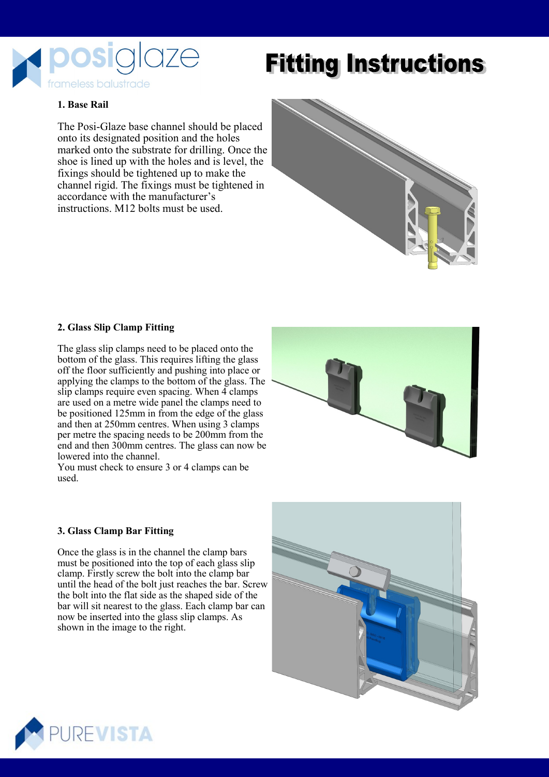

# **Fitting Instructions**

## **1. Base Rail**

The Posi-Glaze base channel should be placed onto its designated position and the holes marked onto the substrate for drilling. Once the shoe is lined up with the holes and is level, the fixings should be tightened up to make the channel rigid. The fixings must be tightened in accordance with the manufacturer's instructions. M12 bolts must be used.



#### **2. Glass Slip Clamp Fitting**

The glass slip clamps need to be placed onto the bottom of the glass. This requires lifting the glass off the floor sufficiently and pushing into place or applying the clamps to the bottom of the glass. The slip clamps require even spacing. When 4 clamps are used on a metre wide panel the clamps need to be positioned 125mm in from the edge of the glass and then at 250mm centres. When using 3 clamps per metre the spacing needs to be 200mm from the end and then 300mm centres. The glass can now be lowered into the channel.

You must check to ensure 3 or 4 clamps can be used.



#### **3. Glass Clamp Bar Fitting**

Once the glass is in the channel the clamp bars must be positioned into the top of each glass slip clamp. Firstly screw the bolt into the clamp bar until the head of the bolt just reaches the bar. Screw the bolt into the flat side as the shaped side of the bar will sit nearest to the glass. Each clamp bar can now be inserted into the glass slip clamps. As shown in the image to the right.